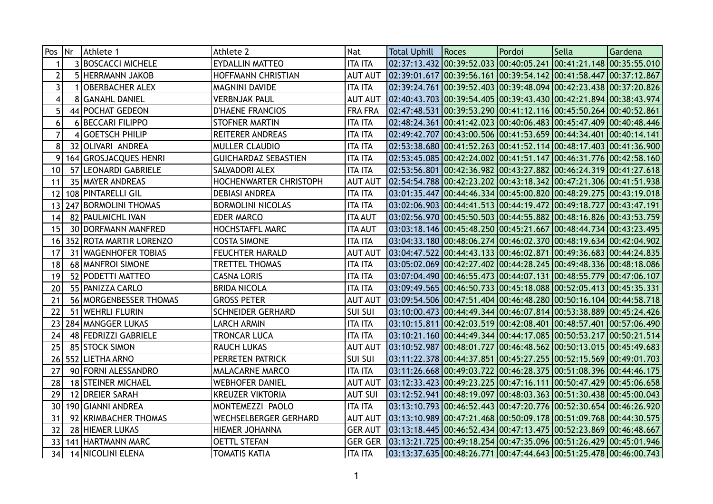| Pos             | Nr | Athlete 1                 | Athlete 2                     | Nat            | <b>Total Uphill</b> | Roces                                                                                                         | Pordoi | Sella | Gardena |
|-----------------|----|---------------------------|-------------------------------|----------------|---------------------|---------------------------------------------------------------------------------------------------------------|--------|-------|---------|
|                 |    | <b>3 BOSCACCI MICHELE</b> | <b>EYDALLIN MATTEO</b>        | <b>ITA ITA</b> |                     | 02:37:13.432 00:39:52.033 00:40:05.241 00:41:21.148 00:35:55.010                                              |        |       |         |
| 2               |    | 5 HERRMANN JAKOB          | HOFFMANN CHRISTIAN            | <b>AUT AUT</b> |                     | 02:39:01.617 00:39:56.161 00:39:54.142 00:41:58.447 00:37:12.867                                              |        |       |         |
| $\overline{3}$  |    | <b>OBERBACHER ALEX</b>    | MAGNINI DAVIDE                | <b>ITA ITA</b> |                     |                                                                                                               |        |       |         |
| 4               |    | 8 GANAHL DANIEL           | VERBNJAK PAUL                 | <b>AUT AUT</b> |                     |                                                                                                               |        |       |         |
| 5               |    | 44 POCHAT GEDEON          | <b>D'HAENE FRANCIOS</b>       | <b>FRA FRA</b> |                     | 02:47:48.531 00:39:53.290 00:41:12.116 00:45:50.264 00:40:52.861                                              |        |       |         |
| 6               |    | 6 BECCARI FILIPPO         | <b>STOFNER MARTIN</b>         | <b>ITA ITA</b> |                     | 02:48:24.361 00:41:42.023 00:40:06.483 00:45:47.409 00:40:48.446                                              |        |       |         |
| $\overline{7}$  |    | 4 GOETSCH PHILIP          | <b>REITERER ANDREAS</b>       | <b>ITA ITA</b> |                     | 02:49:42.707   00:43:00.506   00:41:53.659   00:44:34.401   00:40:14.141                                      |        |       |         |
| 8               |    | 32 OLIVARI ANDREA         | <b>MULLER CLAUDIO</b>         | <b>ITA ITA</b> |                     | 02:53:38.680 00:41:52.263 00:41:52.114 00:48:17.403 00:41:36.900                                              |        |       |         |
| 9               |    | 164 GROSJACQUES HENRI     | <b>GUICHARDAZ SEBASTIEN</b>   | <b>ITA ITA</b> |                     | 02:53:45.085 00:42:24.002 00:41:51.147 00:46:31.776 00:42:58.160                                              |        |       |         |
| 10 <sup>°</sup> |    | 57 LEONARDI GABRIELE      | SALVADORI ALEX                | <b>ITA ITA</b> |                     | 02:53:56.801 00:42:36.982 00:43:27.882 00:46:24.319 00:41:27.618                                              |        |       |         |
| 11              |    | 35 MAYER ANDREAS          | <b>HOCHENWARTER CHRISTOPH</b> | <b>AUT AUT</b> |                     | 02:54:54.788 00:42:23.202 00:43:18.342 00:47:21.306 00:41:51.938                                              |        |       |         |
| 12              |    | 108 PINTARELLI GIL        | <b>DEBIASI ANDREA</b>         | <b>ITA ITA</b> |                     | 03:01:35.447 00:44:46.334 00:45:00.820 00:48:29.275 00:43:19.018                                              |        |       |         |
| 13              |    | 247 BORMOLINI THOMAS      | <b>BORMOLINI NICOLAS</b>      | <b>ITA ITA</b> |                     | 03:02:06.903 00:44:41.513 00:44:19.472 00:49:18.727 00:43:47.191                                              |        |       |         |
| 14              |    | 82 PAULMICHL IVAN         | <b>EDER MARCO</b>             | <b>ITA AUT</b> |                     | 03:02:56.970 00:45:50.503 00:44:55.882 00:48:16.826 00:43:53.759                                              |        |       |         |
| 15              |    | 30 DORFMANN MANFRED       | <b>HOCHSTAFFL MARC</b>        | <b>ITA AUT</b> |                     | 03:03:18.146 00:45:48.250 00:45:21.667 00:48:44.734 00:43:23.495                                              |        |       |         |
| 16              |    | 352 ROTA MARTIR LORENZO   | <b>COSTA SIMONE</b>           | <b>ITA ITA</b> |                     | $03:04:33.180$ $00:48:06.274$ $00:46:02.370$ $00:48:19.634$ $00:42:04.902$                                    |        |       |         |
| 17              |    | 31   WAGENHOFER TOBIAS    | <b>FEUCHTER HARALD</b>        | <b>AUT AUT</b> |                     | 03:04:47.522 00:44:43.133 00:46:02.871 00:49:36.683 00:44:24.835                                              |        |       |         |
| 18              |    | 68   MANFROI SIMONE       | TRETTEL THOMAS                | <b>ITA ITA</b> |                     | 03:05:02.069 00:42:27.402 00:44:28.245 00:49:48.336 00:48:18.086                                              |        |       |         |
| 19              |    | 52 PODETTI MATTEO         | <b>CASNA LORIS</b>            | <b>ITA ITA</b> |                     | 03:07:04.490 00:46:55.473 00:44:07.131 00:48:55.779 00:47:06.107                                              |        |       |         |
| 20              |    | 55   PANIZZA CARLO        | <b>BRIDA NICOLA</b>           | <b>ITA ITA</b> |                     | 03:09:49.565 00:46:50.733 00:45:18.088 00:52:05.413 00:45:35.331                                              |        |       |         |
| 21              |    | 56   MORGENBESSER THOMAS  | <b>GROSS PETER</b>            | <b>AUT AUT</b> |                     | 03:09:54.506 00:47:51.404 00:46:48.280 00:50:16.104 00:44:58.718                                              |        |       |         |
| 22              |    | 51   WEHRLI FLURIN        | <b>SCHNEIDER GERHARD</b>      | <b>SUI SUI</b> |                     |                                                                                                               |        |       |         |
| 23              |    | 284 MANGGER LUKAS         | LARCH ARMIN                   | <b>ITA ITA</b> |                     |                                                                                                               |        |       |         |
| 24              |    | 48 FEDRIZZI GABRIELE      | TRONCAR LUCA                  | <b>ITA ITA</b> |                     | 03:10:21.160 00:44:49.344 00:44:17.085 00:50:53.217 00:50:21.514                                              |        |       |         |
| 25              |    | 85 STOCK SIMON            | <b>RAUCH LUKAS</b>            | <b>AUT AUT</b> |                     | 03:10:52.987 00:48:01.727 00:46:48.562 00:50:13.015 00:45:49.683                                              |        |       |         |
| 26              |    | 552 LIETHA ARNO           | PERRETEN PATRICK              | <b>SUI SUI</b> |                     |                                                                                                               |        |       |         |
| 27              |    | 90 FORNI ALESSANDRO       | MALACARNE MARCO               | <b>ITA ITA</b> |                     | 03:11:26.668 00:49:03.722 00:46:28.375 00:51:08.396 00:44:46.175                                              |        |       |         |
| 28              |    | 18 STEINER MICHAEL        | WEBHOFER DANIEL               | <b>AUT AUT</b> |                     |                                                                                                               |        |       |         |
| 29              |    | 12 DREIER SARAH           | <b>KREUZER VIKTORIA</b>       | <b>AUT SUI</b> |                     | $\vert 03:$ 12:52.941 $\vert 00:$ 48:19.097 $\vert 00:$ 48:03.363 $\vert 00:$ 51:30.438 $\vert 00:$ 45:00.043 |        |       |         |
| 30 <sup>1</sup> |    | 190 GIANNI ANDREA         | MONTEMEZZI PAOLO              | <b>ITA ITA</b> |                     |                                                                                                               |        |       |         |
| 31              |    | 92 KRIMBACHER THOMAS      | WECHSELBERGER GERHARD         | <b>AUT AUT</b> |                     | 03:13:10.989 00:47:21.468 00:50:09.178 00:51:09.768 00:44:30.575                                              |        |       |         |
| 32              |    | 28 HIEMER LUKAS           | HIEMER JOHANNA                | <b>GER AUT</b> |                     | 03:13:18.445 00:46:52.434 00:47:13.475 00:52:23.869 00:46:48.667                                              |        |       |         |
| 33              |    | 141 HARTMANN MARC         | <b>OETTL STEFAN</b>           | <b>GER GER</b> |                     | $\vert 03:13:21.725 \vert 00:49:18.254 \vert 00:47:35.096 \vert 00:51:26.429 \vert 00:45:01.946 \vert$        |        |       |         |
| 34              |    | 14 NICOLINI ELENA         | TOMATIS KATIA                 | <b>ITA ITA</b> |                     | 03:13:37.635  00:48:26.771  00:47:44.643  00:51:25.478  00:46:00.743                                          |        |       |         |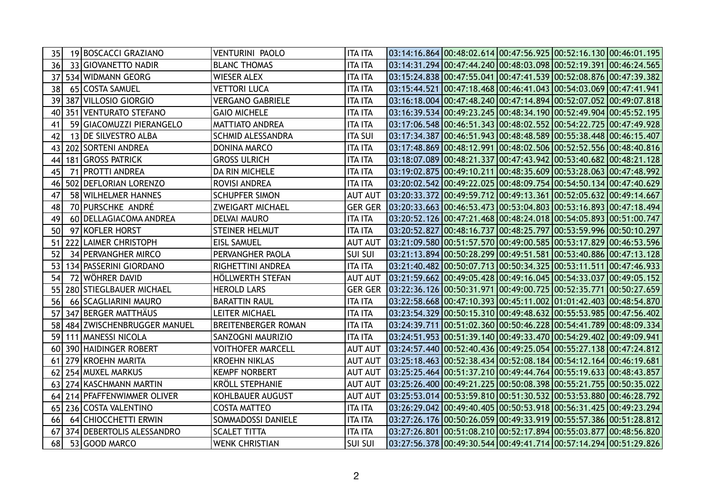| 35 | 19 BOSCACCI GRAZIANO       | <b>VENTURINI PAOLO</b>     | <b>ITA ITA</b> | $03:14:16.864\,00:48:02.614\,00:47:56.925\,00:52:16.130\,00:46:01.195$   |  |  |
|----|----------------------------|----------------------------|----------------|--------------------------------------------------------------------------|--|--|
| 36 | 33 GIOVANETTO NADIR        | <b>BLANC THOMAS</b>        | <b>ITA ITA</b> | 03:14:31.294 00:47:44.240 00:48:03.098 00:52:19.391 00:46:24.565         |  |  |
| 37 | 534 WIDMANN GEORG          | <b>WIESER ALEX</b>         | <b>ITA ITA</b> | 03:15:24.838 00:47:55.041 00:47:41.539 00:52:08.876 00:47:39.382         |  |  |
| 38 | 65 COSTA SAMUEL            | <b>VETTORI LUCA</b>        | <b>ITA ITA</b> | 03:15:44.521 00:47:18.468 00:46:41.043 00:54:03.069 00:47:41.941         |  |  |
| 39 | 387 VILLOSIO GIORGIO       | <b>VERGANO GABRIELE</b>    | <b>ITA ITA</b> | 03:16:18.004 00:47:48.240 00:47:14.894 00:52:07.052 00:49:07.818         |  |  |
| 40 | 351 VENTURATO STEFANO      | <b>GAIO MICHELE</b>        | <b>ITA ITA</b> |                                                                          |  |  |
| 41 | 59 GIACOMUZZI PIERANGELO   | <b>MATTIATO ANDREA</b>     | <b>ITA ITA</b> | 03:17:06.548 00:46:51.343 00:48:02.552 00:54:22.725 00:47:49.928         |  |  |
| 42 | 13 DE SILVESTRO ALBA       | <b>SCHMID ALESSANDRA</b>   | <b>ITA SUI</b> | 03:17:34.387 00:46:51.943 00:48:48.589 00:55:38.448 00:46:15.407         |  |  |
| 43 | 202 SORTENI ANDREA         | DONINA MARCO               | <b>ITA ITA</b> | 03:17:48.869 00:48:12.991 00:48:02.506 00:52:52.556 00:48:40.816         |  |  |
| 44 | 181 GROSS PATRICK          | <b>GROSS ULRICH</b>        | <b>ITA ITA</b> |                                                                          |  |  |
| 45 | 71 PROTTI ANDREA           | DA RIN MICHELE             | <b>ITA ITA</b> |                                                                          |  |  |
| 46 | 502 DEFLORIAN LORENZO      | ROVISI ANDREA              | <b>ITA ITA</b> | 03:20:02.542 00:49:22.025 00:48:09.754 00:54:50.134 00:47:40.629         |  |  |
| 47 | 58 WILHELMER HANNES        | <b>SCHUPFER SIMON</b>      | <b>AUT AUT</b> | 03:20:33.372 00:49:59.712 00:49:13.361 00:52:05.632 00:49:14.667         |  |  |
| 48 | 70 PURSCHKE ANDRÉ          | <b>ZWEIGART MICHAEL</b>    | <b>GER GER</b> | 03:20:33.663 00:46:53.473 00:53:04.803 00:53:16.893 00:47:18.494         |  |  |
| 49 | 60 DELLAGIACOMA ANDREA     | <b>DELVAI MAURO</b>        | <b>ITA ITA</b> | 03:20:52.126 00:47:21.468 00:48:24.018 00:54:05.893 00:51:00.747         |  |  |
| 50 | 97 KOFLER HORST            | <b>STEINER HELMUT</b>      | <b>ITA ITA</b> | 03:20:52.827 00:48:16.737 00:48:25.797 00:53:59.996 00:50:10.297         |  |  |
| 51 | 222 LAIMER CHRISTOPH       | <b>EISL SAMUEL</b>         | <b>AUT AUT</b> | 03:21:09.580 00:51:57.570 00:49:00.585 00:53:17.829 00:46:53.596         |  |  |
| 52 | 34 PERVANGHER MIRCO        | PERVANGHER PAOLA           | <b>SUI SUI</b> |                                                                          |  |  |
| 53 | 134 PASSERINI GIORDANO     | RIGHETTINI ANDREA          | <b>ITA ITA</b> | 03:21:40.482 00:50:07.713 00:50:34.325 00:53:11.511 00:47:46.933         |  |  |
| 54 | 72 WÖHRER DAVID            | HÖLLWERTH STEFAN           | <b>AUT AUT</b> | 03:21:59.662 00:49:05.428 00:49:16.045 00:54:33.037 00:49:05.152         |  |  |
| 55 | 280 STIEGLBAUER MICHAEL    | <b>HEROLD LARS</b>         | <b>GER GER</b> | 03:22:36.126 00:50:31.971 00:49:00.725 00:52:35.771 00:50:27.659         |  |  |
| 56 | 66 SCAGLIARINI MAURO       | <b>BARATTIN RAUL</b>       | <b>ITA ITA</b> | 03:22:58.668 00:47:10.393 00:45:11.002 01:01:42.403 00:48:54.870         |  |  |
| 57 | 347 BERGER MATTHÄUS        | LEITER MICHAEL             | <b>ITA ITA</b> | 03:23:54.329 00:50:15.310 00:49:48.632 00:55:53.985 00:47:56.402         |  |  |
| 58 | 484 ZWISCHENBRUGGER MANUEL | <b>BREITENBERGER ROMAN</b> | <b>ITA ITA</b> |                                                                          |  |  |
| 59 | 111 MANESSI NICOLA         | <b>SANZOGNI MAURIZIO</b>   | <b>ITA ITA</b> |                                                                          |  |  |
| 60 | 390 HAIDINGER ROBERT       | <b>VOITHOFER MARCELL</b>   | <b>AUT AUT</b> |                                                                          |  |  |
| 61 | 279 KROEHN MARITA          | <b>KROEHN NIKLAS</b>       | <b>AUT AUT</b> | 03:25:18.463 00:52:38.434 00:52:08.184 00:54:12.164 00:46:19.681         |  |  |
| 62 | 254 MUXEL MARKUS           | <b>KEMPF NORBERT</b>       | <b>AUT AUT</b> | 03:25:25.464 00:51:37.210 00:49:44.764 00:55:19.633 00:48:43.857         |  |  |
| 63 | 274 KASCHMANN MARTIN       | <b>KRÖLL STEPHANIE</b>     | <b>AUT AUT</b> | 03:25:26.400   00:49:21.225   00:50:08.398   00:55:21.755   00:50:35.022 |  |  |
| 64 | 214 PFAFFENWIMMER OLIVER   | <b>KOHLBAUER AUGUST</b>    | <b>AUT AUT</b> | 03:25:53.014 00:53:59.810 00:51:30.532 00:53:53.880 00:46:28.792         |  |  |
| 65 | 236 COSTA VALENTINO        | <b>COSTA MATTEO</b>        | <b>ITA ITA</b> | 03:26:29.042 00:49:40.405 00:50:53.918 00:56:31.425 00:49:23.294         |  |  |
| 66 | 64 CHIOCCHETTI ERWIN       | SOMMADOSSI DANIELE         | <b>ITA ITA</b> | 03:27:26.176 00:50:26.059 00:49:33.919 00:55:57.386 00:51:28.812         |  |  |
| 67 | 374 DEBERTOLIS ALESSANDRO  | <b>SCALET TITTA</b>        | <b>ITA ITA</b> | 03:27:26.801 00:51:08.210 00:52:17.894 00:55:03.877 00:48:56.820         |  |  |
| 68 | 53 GOOD MARCO              | <b>WENK CHRISTIAN</b>      | <b>SUI SUI</b> | 03:27:56.378 00:49:30.544 00:49:41.714 00:57:14.294 00:51:29.826         |  |  |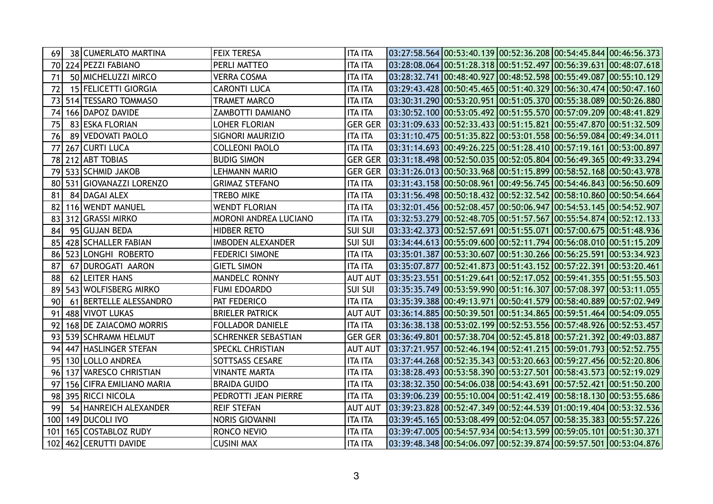| 69  | 38 CUMERLATO MARTINA      | <b>FEIX TERESA</b>       | <b>ITA ITA</b> | 03:27:58.564 00:53:40.139 00:52:36.208 00:54:45.844 00:46:56.373 |  |  |
|-----|---------------------------|--------------------------|----------------|------------------------------------------------------------------|--|--|
| 70  | 224 PEZZI FABIANO         | PERLI MATTEO             | <b>ITA ITA</b> | 03:28:08.064 00:51:28.318 00:51:52.497 00:56:39.631 00:48:07.618 |  |  |
| 71  | 50 MICHELUZZI MIRCO       | <b>VERRA COSMA</b>       | <b>ITA ITA</b> | 03:28:32.741 00:48:40.927 00:48:52.598 00:55:49.087 00:55:10.129 |  |  |
| 72  | 15 FELICETTI GIORGIA      | <b>CARONTI LUCA</b>      | <b>ITA ITA</b> | 03:29:43.428 00:50:45.465 00:51:40.329 00:56:30.474 00:50:47.160 |  |  |
| 73  | 514 TESSARO TOMMASO       | TRAMET MARCO             | <b>ITA ITA</b> | 03:30:31.290 00:53:20.951 00:51:05.370 00:55:38.089 00:50:26.880 |  |  |
| 74  | 166 DAPOZ DAVIDE          | ZAMBOTTI DAMIANO         | <b>ITA ITA</b> | 03:30:52.100 00:53:05.492 00:51:55.570 00:57:09.209 00:48:41.829 |  |  |
| 75  | 83 ESKA FLORIAN           | LOHER FLORIAN            | <b>GER GER</b> | 03:31:09.633 00:52:33.433 00:51:15.821 00:55:47.870 00:51:32.509 |  |  |
| 76  | 89 VEDOVATI PAOLO         | <b>SIGNORI MAURIZIO</b>  | <b>ITA ITA</b> |                                                                  |  |  |
| 77  | 267 CURTI LUCA            | <b>COLLEONI PAOLO</b>    | <b>ITA ITA</b> | 03:31:14.693 00:49:26.225 00:51:28.410 00:57:19.161 00:53:00.897 |  |  |
| 78  | 212 ABT TOBIAS            | <b>BUDIG SIMON</b>       | <b>GER GER</b> | 03:31:18.498 00:52:50.035 00:52:05.804 00:56:49.365 00:49:33.294 |  |  |
| 79  | 533 SCHMID JAKOB          | LEHMANN MARIO            | <b>GER GER</b> | 03:31:26.013 00:50:33.968 00:51:15.899 00:58:52.168 00:50:43.978 |  |  |
|     | 80 531 GIOVANAZZI LORENZO | <b>GRIMAZ STEFANO</b>    | <b>ITA ITA</b> | 03:31:43.158 00:50:08.961 00:49:56.745 00:54:46.843 00:56:50.609 |  |  |
| 81  | 84 DAGAI ALEX             | TREBO MIKE               | <b>ITA ITA</b> | 03:31:56.498 00:50:18.432 00:52:32.542 00:58:10.860 00:50:54.664 |  |  |
| 82  | 116 WENDT MANUEL          | <b>WENDT FLORIAN</b>     | <b>ITA ITA</b> | 03:32:01.456 00:52:08.457 00:50:06.947 00:54:53.145 00:54:52.907 |  |  |
| 83  | 312 GRASSI MIRKO          | MORONI ANDREA LUCIANO    | <b>ITA ITA</b> | 03:32:53.279 00:52:48.705 00:51:57.567 00:55:54.874 00:52:12.133 |  |  |
| 84  | 95 GUJAN BEDA             | HIDBER RETO              | <b>SUI SUI</b> |                                                                  |  |  |
| 85  | 428 SCHALLER FABIAN       | <b>IMBODEN ALEXANDER</b> | <b>SUI SUI</b> | 03:34:44.613 00:55:09.600 00:52:11.794 00:56:08.010 00:51:15.209 |  |  |
| 86  | 523 LONGHI ROBERTO        | <b>FEDERICI SIMONE</b>   | <b>ITA ITA</b> | 03:35:01.387 00:53:30.607 00:51:30.266 00:56:25.591 00:53:34.923 |  |  |
| 87  | 67 DUROGATI AARON         | <b>GIETL SIMON</b>       | <b>ITA ITA</b> |                                                                  |  |  |
| 88  | 62 LEITER HANS            | <b>MANDELC RONNY</b>     | <b>AUT AUT</b> | 03:35:23.551 00:51:29.641 00:52:17.052 00:59:41.355 00:51:55.503 |  |  |
| 89  | 543 WOLFISBERG MIRKO      | <b>FUMI EDOARDO</b>      | <b>SUI SUI</b> | 03:35:35.749 00:53:59.990 00:51:16.307 00:57:08.397 00:53:11.055 |  |  |
| 90  | 61 BERTELLE ALESSANDRO    | PAT FEDERICO             | <b>ITA ITA</b> | 03:35:39.388 00:49:13.971 00:50:41.579 00:58:40.889 00:57:02.949 |  |  |
| 91  | 488 VIVOT LUKAS           | <b>BRIELER PATRICK</b>   | <b>AUT AUT</b> | 03:36:14.885 00:50:39.501 00:51:34.865 00:59:51.464 00:54:09.055 |  |  |
| 92  | 168 DE ZAIACOMO MORRIS    | <b>FOLLADOR DANIELE</b>  | <b>ITA ITA</b> | 03:36:38.138 00:53:02.199 00:52:53.556 00:57:48.926 00:52:53.457 |  |  |
| 93  | 539 SCHRAMM HELMUT        | SCHRENKER SEBASTIAN      | <b>GER GER</b> | 03:36:49.801 00:57:38.704 00:52:45.818 00:57:21.392 00:49:03.887 |  |  |
| 94  | 447 HASLINGER STEFAN      | <b>SPECKL CHRISTIAN</b>  | <b>AUT AUT</b> |                                                                  |  |  |
| 95  | 130 LOLLO ANDREA          | SOTTSASS CESARE          | <b>ITA ITA</b> | 03:37:44.268 00:52:35.343 00:53:20.663 00:59:27.456 00:52:20.806 |  |  |
| 96  | 137 VARESCO CHRISTIAN     | <b>VINANTE MARTA</b>     | <b>ITA ITA</b> | 03:38:28.493 00:53:58.390 00:53:27.501 00:58:43.573 00:52:19.029 |  |  |
| 97  | 156 CIFRA EMILIANO MARIA  | <b>BRAIDA GUIDO</b>      | <b>ITA ITA</b> | 03:38:32.350 00:54:06.038 00:54:43.691 00:57:52.421 00:51:50.200 |  |  |
| 98  | 395 RICCI NICOLA          | PEDROTTI JEAN PIERRE     | <b>ITA ITA</b> | 03:39:06.239 00:55:10.004 00:51:42.419 00:58:18.130 00:53:55.686 |  |  |
| 99  | 54 HANREICH ALEXANDER     | <b>REIF STEFAN</b>       | <b>AUT AUT</b> | 03:39:23.828 00:52:47.349 00:52:44.539 01:00:19.404 00:53:32.536 |  |  |
| 100 | 149 DUCOLI IVO            | <b>NORIS GIOVANNI</b>    | <b>ITA ITA</b> | 03:39:45.165 00:53:08.499 00:52:04.057 00:58:35.383 00:55:57.226 |  |  |
| 101 | 165 COSTABLOZ RUDY        | RONCO NEVIO              | <b>ITA ITA</b> | 03:39:47.005 00:54:57.934 00:54:13.599 00:59:05.101 00:51:30.371 |  |  |
| 102 | 462 CERUTTI DAVIDE        | <b>CUSINI MAX</b>        | <b>ITA ITA</b> | 03:39:48.348 00:54:06.097 00:52:39.874 00:59:57.501 00:53:04.876 |  |  |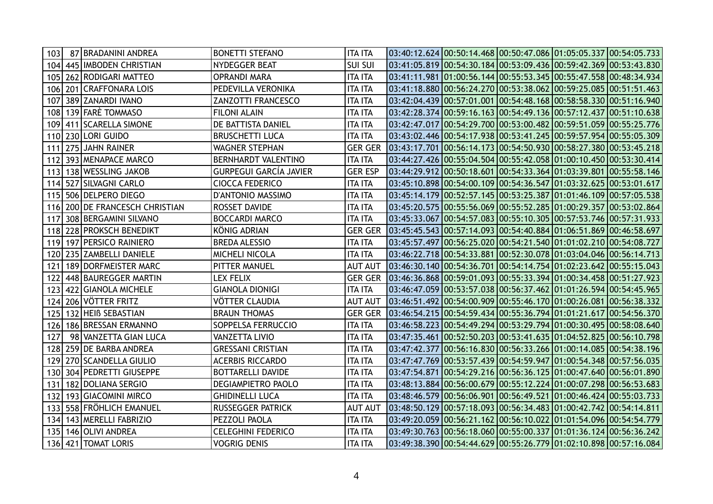| 103 | 87 BRADANINI ANDREA         | <b>BONETTI STEFANO</b>     | <b>ITA ITA</b> | $03:40:12.624$ $00:50:14.468$ $00:50:47.086$ $01:05:05.337$ $00:54:05.733$ |  |  |
|-----|-----------------------------|----------------------------|----------------|----------------------------------------------------------------------------|--|--|
| 104 | 445   IMBODEN CHRISTIAN     | NYDEGGER BEAT              | <b>SUI SUI</b> |                                                                            |  |  |
| 105 | 262 RODIGARI MATTEO         | <b>OPRANDI MARA</b>        | <b>ITA ITA</b> | 03:41:11.981 01:00:56.144 00:55:53.345 00:55:47.558 00:48:34.934           |  |  |
| 106 | 201 CRAFFONARA LOIS         | PEDEVILLA VERONIKA         | <b>ITA ITA</b> | $03:41:18.880$ $00:56:24.270$ $00:53:38.062$ $00:59:25.085$ $00:51:51.463$ |  |  |
| 107 | 389 ZANARDI IVANO           | ZANZOTTI FRANCESCO         | <b>ITA ITA</b> |                                                                            |  |  |
| 108 | 139 FARÈ TOMMASO            | <b>FILONI ALAIN</b>        | <b>ITA ITA</b> | $03:42:28.374$ $00:59:16.163$ $00:54:49.136$ $00:57:12.437$ $00:51:10.638$ |  |  |
|     | 109   411   SCARELLA SIMONE | DE BATTISTA DANIEL         | <b>ITA ITA</b> | 03:42:47.017 00:54:29.700 00:53:00.482 00:59:51.059 00:55:25.776           |  |  |
|     | 110 230 LORI GUIDO          | <b>BRUSCHETTI LUCA</b>     | <b>ITA ITA</b> | 03:43:02.446 00:54:17.938 00:53:41.245 00:59:57.954 00:55:05.309           |  |  |
| 111 | 275 JAHN RAINER             | WAGNER STEPHAN             | <b>GER GER</b> | 03:43:17.701  00:56:14.173  00:54:50.930  00:58:27.380  00:53:45.218       |  |  |
| 112 | 393 MENAPACE MARCO          | <b>BERNHARDT VALENTINO</b> | <b>ITA ITA</b> | 03:44:27.426 00:55:04.504 00:55:42.058 01:00:10.450 00:53:30.414           |  |  |
| 113 | 138 WESSLING JAKOB          | GURPEGUI GARCÍA JAVIER     | <b>GER ESP</b> | 03:44:29.912 00:50:18.601 00:54:33.364 01:03:39.801 00:55:58.146           |  |  |
| 114 | 527 SILVAGNI CARLO          | <b>CIOCCA FEDERICO</b>     | <b>ITA ITA</b> | 03:45:10.898 00:54:00.109 00:54:36.547 01:03:32.625 00:53:01.617           |  |  |
| 115 | 506 DELPERO DIEGO           | D'ANTONIO MASSIMO          | <b>ITA ITA</b> | 03:45:14.179 00:52:57.145 00:53:25.387 01:01:46.109 00:57:05.538           |  |  |
| 116 | 200 DE FRANCESCH CHRISTIAN  | ROSSET DAVIDE              | ITA ITA        | 03:45:20.575 00:55:56.069 00:55:52.285 01:00:29.357 00:53:02.864           |  |  |
| 117 | 308 BERGAMINI SILVANO       | <b>BOCCARDI MARCO</b>      | <b>ITA ITA</b> | 03:45:33.067 00:54:57.083 00:55:10.305 00:57:53.746 00:57:31.933           |  |  |
| 118 | 228 PROKSCH BENEDIKT        | KÖNIG ADRIAN               | <b>GER GER</b> |                                                                            |  |  |
|     | 119 197 PERSICO RAINIERO    | <b>BREDA ALESSIO</b>       | <b>ITA ITA</b> | 03:45:57.497 00:56:25.020 00:54:21.540 01:01:02.210 00:54:08.727           |  |  |
| 120 | 235 ZAMBELLI DANIELE        | MICHELI NICOLA             | <b>ITA ITA</b> | 03:46:22.718 00:54:33.881 00:52:30.078 01:03:04.046 00:56:14.713           |  |  |
| 121 | 189 DORFMEISTER MARC        | PITTER MANUEL              | <b>AUT AUT</b> | 03:46:30.140 00:54:36.701 00:54:14.754 01:02:23.642 00:55:15.043           |  |  |
| 122 | 448 BAUREGGER MARTIN        | <b>LEX FELIX</b>           |                | GER GER 03:46:36.868 00:59:01.093 00:55:33.394 01:00:34.458 00:51:27.923   |  |  |
| 123 | 422 GIANOLA MICHELE         | <b>GIANOLA DIONIGI</b>     | <b>ITA ITA</b> | 03:46:47.059 00:53:57.038 00:56:37.462 01:01:26.594 00:54:45.965           |  |  |
| 124 | 206 VÖTTER FRITZ            | VÖTTER CLAUDIA             | <b>AUT AUT</b> | 03:46:51.492 00:54:00.909 00:55:46.170 01:00:26.081 00:56:38.332           |  |  |
| 125 | 132 HEIB SEBASTIAN          | <b>BRAUN THOMAS</b>        | <b>GER GER</b> | $ 03:46:54.215 00:54:59.434 00:55:36.794 01:01:21.617 00:54:56.370$        |  |  |
| 126 | 186 BRESSAN ERMANNO         | SOPPELSA FERRUCCIO         | ITA ITA        |                                                                            |  |  |
| 127 | 98 VANZETTA GIAN LUCA       | <b>VANZETTA LIVIO</b>      | <b>ITA ITA</b> |                                                                            |  |  |
| 128 | 259 DE BARBA ANDREA         | <b>GRESSANI CRISTIAN</b>   | <b>ITA ITA</b> | $03:47:42.377$ $00:56:16.830$ $00:56:33.266$ $01:00:14.085$ $00:54:38.196$ |  |  |
| 129 | 270 SCANDELLA GIULIO        | <b>ACERBIS RICCARDO</b>    | <b>ITA ITA</b> | 03:47:47.769 00:53:57.439 00:54:59.947 01:00:54.348 00:57:56.035           |  |  |
| 130 | 304 PEDRETTI GIUSEPPE       | BOTTARELLI DAVIDE          | <b>ITA ITA</b> | 03:47:54.871 00:54:29.216 00:56:36.125 01:00:47.640 00:56:01.890           |  |  |
| 131 | 182 DOLIANA SERGIO          | DEGIAMPIETRO PAOLO         | ITA ITA        | 03:48:13.884 00:56:00.679 00:55:12.224 01:00:07.298 00:56:53.683           |  |  |
| 132 | 193 GIACOMINI MIRCO         | <b>GHIDINELLI LUCA</b>     | <b>ITA ITA</b> |                                                                            |  |  |
| 133 | 558 FRÖHLICH EMANUEL        | <b>RUSSEGGER PATRICK</b>   | <b>AUT AUT</b> |                                                                            |  |  |
| 134 | 143 MERELLI FABRIZIO        | PEZZOLI PAOLA              | <b>ITA ITA</b> | 03:49:20.059 00:56:21.162 00:56:10.022 01:01:54.096 00:54:54.779           |  |  |
| 135 | 146 OLIVI ANDREA            | <b>CELEGHINI FEDERICO</b>  | <b>ITA ITA</b> | $03:49:30.763$ $00:56:18.060$ $00:55:00.337$ $01:01:36.124$ $00:56:36.242$ |  |  |
|     | 136 421 TOMAT LORIS         | <b>VOGRIG DENIS</b>        | <b>ITA ITA</b> | 03:49:38.390 00:54:44.629 00:55:26.779 01:02:10.898 00:57:16.084           |  |  |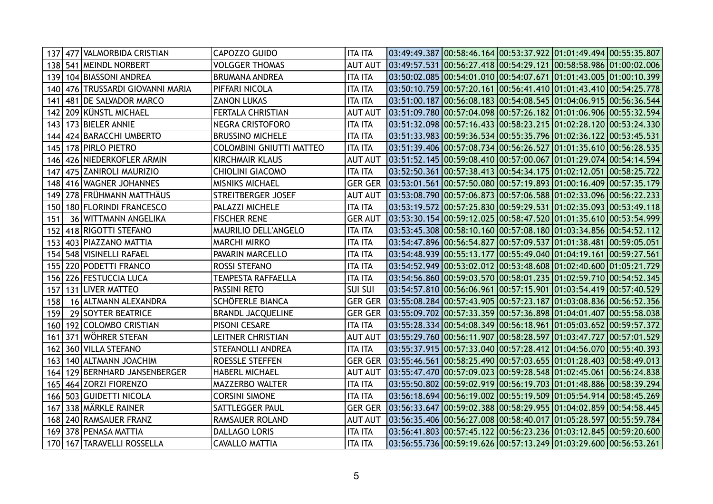| 137 |     | 477   VALMORBIDA CRISTIAN        | CAPOZZO GUIDO                   | <b>ITA ITA</b> | $03:49:49.387$ $00:58:46.164$ $00:53:37.922$ $01:01:49.494$ $00:55:35.807$                       |  |  |
|-----|-----|----------------------------------|---------------------------------|----------------|--------------------------------------------------------------------------------------------------|--|--|
|     |     | 138   541   MEINDL NORBERT       | <b>VOLGGER THOMAS</b>           | <b>AUT AUT</b> |                                                                                                  |  |  |
| 139 |     | 104 BIASSONI ANDREA              | <b>BRUMANA ANDREA</b>           | <b>ITA ITA</b> | 03:50:02.085 00:54:01.010 00:54:07.671 01:01:43.005 01:00:10.399                                 |  |  |
|     |     | 140 476 TRUSSARDI GIOVANNI MARIA | PIFFARI NICOLA                  | <b>ITA ITA</b> | 03:50:10.759 00:57:20.161 00:56:41.410 01:01:43.410 00:54:25.778                                 |  |  |
| 141 |     | 481 DE SALVADOR MARCO            | <b>ZANON LUKAS</b>              | <b>ITA ITA</b> | 03:51:00.187 00:56:08.183 00:54:08.545 01:04:06.915 00:56:36.544                                 |  |  |
| 142 |     | 209 KÜNSTL MICHAEL               | FERTALA CHRISTIAN               | <b>AUT AUT</b> |                                                                                                  |  |  |
| 143 |     | 173 BIELER ANNIE                 | <b>NEGRA CRISTOFORO</b>         | <b>ITA ITA</b> | $03:51:32.098$ $00:57:16.433$ $00:58:23.215$ $01:02:28.120$ $00:53:24.330$                       |  |  |
| 144 |     | 424 BARACCHI UMBERTO             | <b>BRUSSINO MICHELE</b>         | <b>ITA ITA</b> | $03:51:33.983$ $00:59:36.534$ $00:55:35.796$ $01:02:36.122$ $00:53:45.531$                       |  |  |
| 145 |     | 178 PIRLO PIETRO                 | <b>COLOMBINI GNIUTTI MATTEO</b> | <b>ITA ITA</b> | $03:51:39.406$ $00:57:08.734$ $00:56:26.527$ $01:01:35.610$ $00:56:28.535$                       |  |  |
| 146 |     | 426 NIEDERKOFLER ARMIN           | <b>KIRCHMAIR KLAUS</b>          | <b>AUT AUT</b> |                                                                                                  |  |  |
| 147 |     | 475 ZANIROLI MAURIZIO            | <b>CHIOLINI GIACOMO</b>         | <b>ITA ITA</b> | 03:52:50.361 00:57:38.413 00:54:34.175 01:02:12.051 00:58:25.722                                 |  |  |
| 148 |     | 416 WAGNER JOHANNES              | <b>MISNIKS MICHAEL</b>          | <b>GER GER</b> |                                                                                                  |  |  |
| 149 |     | 278 FRÜHMANN MATTHÄUS            | STREITBERGER JOSEF              | <b>AUT AUT</b> | $\vert 03:53:08.790 \vert 00:57:06.873 \vert 00:57:06.588 \vert 01:02:33.096 \vert 00:56:22.233$ |  |  |
| 150 |     | 180 FLORINDI FRANCESCO           | PALAZZI MICHELE                 | <b>ITA ITA</b> | $03:53:19.572$ $00:57:25.830$ $00:59:29.531$ $01:02:35.093$ $00:53:49.118$                       |  |  |
| 151 |     | 36 WITTMANN ANGELIKA             | <b>FISCHER RENE</b>             | <b>GER AUT</b> | 03:53:30.154 00:59:12.025 00:58:47.520 01:01:35.610 00:53:54.999                                 |  |  |
| 152 |     | 418 RIGOTTI STEFANO              | MAURILIO DELL'ANGELO            | <b>ITA ITA</b> | $03:53:45.308$ $00:58:10.160$ $00:57:08.180$ $01:03:34.856$ $00:54:52.112$                       |  |  |
| 153 |     | 403 PIAZZANO MATTIA              | <b>MARCHI MIRKO</b>             | <b>ITA ITA</b> | 03:54:47.896 00:56:54.827 00:57:09.537 01:01:38.481 00:59:05.051                                 |  |  |
| 154 |     | 548 VISINELLI RAFAEL             | PAVARIN MARCELLO                | <b>ITA ITA</b> | 03:54:48.939 00:55:13.177 00:55:49.040 01:04:19.161 00:59:27.561                                 |  |  |
| 155 |     | 220 PODETTI FRANCO               | ROSSI STEFANO                   | <b>ITA ITA</b> | 03:54:52.949 00:53:02.012 00:53:48.608 01:02:40.600 01:05:21.729                                 |  |  |
| 156 |     | 226 FESTUCCIA LUCA               | <b>TEMPESTA RAFFAELLA</b>       | <b>ITA ITA</b> | 03:54:56.860 00:59:03.570 00:58:01.235 01:02:59.710 00:54:52.345                                 |  |  |
| 157 |     | 131 LIVER MATTEO                 | PASSINI RETO                    | <b>SUI SUI</b> | 03:54:57.810 00:56:06.961 00:57:15.901 01:03:54.419 00:57:40.529                                 |  |  |
| 158 |     | 16 ALTMANN ALEXANDRA             | SCHÖFERLE BIANCA                | <b>GER GER</b> | 03:55:08.284 00:57:43.905 00:57:23.187 01:03:08.836 00:56:52.356                                 |  |  |
| 159 |     | 29 SOYTER BEATRICE               | <b>BRANDL JACQUELINE</b>        |                | GER GER 03:55:09.702 00:57:33.359 00:57:36.898 01:04:01.407 00:55:58.038                         |  |  |
| 160 |     | 192 COLOMBO CRISTIAN             | PISONI CESARE                   | <b>ITA ITA</b> | 03:55:28.334 00:54:08.349 00:56:18.961 01:05:03.652 00:59:57.372                                 |  |  |
| 161 | 371 | WÖHRER STEFAN                    | <b>LEITNER CHRISTIAN</b>        | <b>AUT AUT</b> | 03:55:29.760 00:56:11.907 00:58:28.597 01:03:47.727 00:57:01.529                                 |  |  |
| 162 |     | 360 VILLA STEFANO                | <b>STEFANOLLI ANDREA</b>        | <b>ITA ITA</b> | 03:55:37.915 00:57:33.040 00:57:28.412 01:04:56.070 00:55:40.393                                 |  |  |
| 163 |     | 140 ALTMANN JOACHIM              | ROESSLE STEFFEN                 | <b>GER GER</b> | 03:55:46.561 00:58:25.490 00:57:03.655 01:01:28.403 00:58:49.013                                 |  |  |
| 164 |     | 129 BERNHARD JANSENBERGER        | <b>HABERL MICHAEL</b>           | <b>AUT AUT</b> | 03:55:47.470 00:57:09.023 00:59:28.548 01:02:45.061 00:56:24.838                                 |  |  |
|     |     | 165   464   ZORZI FIORENZO       | MAZZERBO WALTER                 | <b>ITA ITA</b> | 03:55:50.802 00:59:02.919 00:56:19.703 01:01:48.886 00:58:39.294                                 |  |  |
| 166 |     | 503 GUIDETTI NICOLA              | <b>CORSINI SIMONE</b>           | <b>ITA ITA</b> | 03:56:18.694 00:56:19.002 00:55:19.509 01:05:54.914 00:58:45.269                                 |  |  |
| 167 |     | 338 MÄRKLE RAINER                | SATTLEGGER PAUL                 | <b>GER GER</b> |                                                                                                  |  |  |
|     |     | 168 240 RAMSAUER FRANZ           | RAMSAUER ROLAND                 | <b>AUT AUT</b> | 03:56:35.406 00:56:27.008 00:58:40.017 01:05:28.597 00:55:59.784                                 |  |  |
| 169 |     | 378 PENASA MATTIA                | <b>DALLAGO LORIS</b>            | <b>ITA ITA</b> | $03:56:41.803$ $00:57:45.122$ $00:56:23.236$ $01:03:12.845$ $00:59:20.600$                       |  |  |
|     |     | 170 167 TARAVELLI ROSSELLA       | <b>CAVALLO MATTIA</b>           | <b>ITA ITA</b> | $03:56:55.736$ $00:59:19.626$ $00:57:13.249$ $01:03:29.600$ $00:56:53.261$                       |  |  |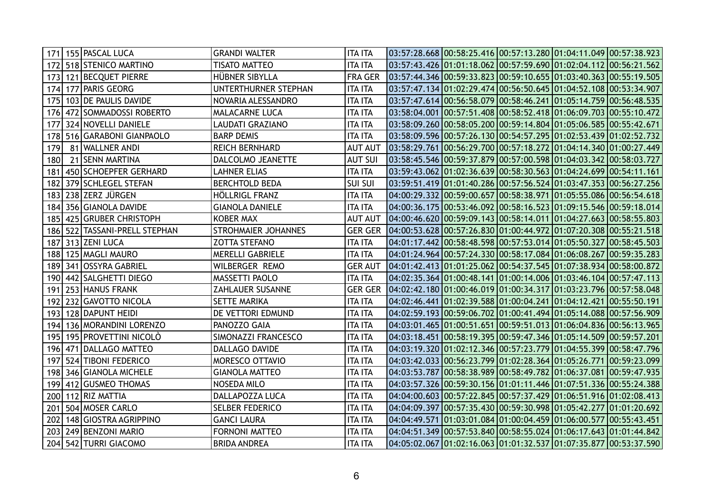|     | 171   155   PASCAL LUCA   | <b>GRANDI WALTER</b>       | <b>ITA ITA</b> | $\vert 03:57:28.668 \, \vert 00:58:25.416 \, \vert 00:57:13.280 \, \vert 01:04:11.049 \, \vert 00:57:38.923 \, \vert$ |  |  |
|-----|---------------------------|----------------------------|----------------|-----------------------------------------------------------------------------------------------------------------------|--|--|
|     | 172 518 STENICO MARTINO   | <b>TISATO MATTEO</b>       | <b>ITA ITA</b> | $03:57:43.426$ $01:01:18.062$ $00:57:59.690$ $01:02:04.112$ $00:56:21.562$                                            |  |  |
| 173 | 121 BECQUET PIERRE        | HÜBNER SIBYLLA             | <b>FRA GER</b> | 03:57:44.346 00:59:33.823 00:59:10.655 01:03:40.363 00:55:19.505                                                      |  |  |
| 174 | 177 PARIS GEORG           | UNTERTHURNER STEPHAN       | <b>ITA ITA</b> | 03:57:47.134 01:02:29.474 00:56:50.645 01:04:52.108 00:53:34.907                                                      |  |  |
| 175 | 103 DE PAULIS DAVIDE      | NOVARIA ALESSANDRO         | <b>ITA ITA</b> | 03:57:47.614 00:56:58.079 00:58:46.241 01:05:14.759 00:56:48.535                                                      |  |  |
| 176 | 472   SOMMADOSSI ROBERTO  | <b>MALACARNE LUCA</b>      | <b>ITA ITA</b> | $03:58:04.001$ $00:57:51.408$ $00:58:52.418$ $01:06:09.703$ $00:55:10.472$                                            |  |  |
| 177 | 324 NOVELLI DANIELE       | <b>LAUDATI GRAZIANO</b>    | <b>ITA ITA</b> | 03:58:09.260 00:58:05.200 00:59:14.804 01:05:06.585 00:55:42.671                                                      |  |  |
| 178 | 516 GARABONI GIANPAOLO    | <b>BARP DEMIS</b>          | <b>ITA ITA</b> | 03:58:09.596 00:57:26.130 00:54:57.295 01:02:53.439 01:02:52.732                                                      |  |  |
| 179 | 81 WALLNER ANDI           | <b>REICH BERNHARD</b>      | <b>AUT AUT</b> | 03:58:29.761 00:56:29.700 00:57:18.272 01:04:14.340 01:00:27.449                                                      |  |  |
| 180 | 21 SENN MARTINA           | DALCOLMO JEANETTE          | <b>AUT SUI</b> | 03:58:45.546 00:59:37.879 00:57:00.598 01:04:03.342 00:58:03.727                                                      |  |  |
| 181 | 450 SCHOEPFER GERHARD     | LAHNER ELIAS               | <b>ITA ITA</b> | 03:59:43.062 01:02:36.639 00:58:30.563 01:04:24.699 00:54:11.161                                                      |  |  |
| 182 | 379 SCHLEGEL STEFAN       | <b>BERCHTOLD BEDA</b>      | <b>SUI SUI</b> |                                                                                                                       |  |  |
| 183 | 238 ZERZ JÜRGEN           | <b>HÖLLRIGL FRANZ</b>      | <b>ITA ITA</b> | 04:00:29.332 00:59:00.657 00:58:38.971 01:05:55.086 00:56:54.618                                                      |  |  |
| 184 | 356 GIANOLA DAVIDE        | <b>GIANOLA DANIELE</b>     | <b>ITA ITA</b> | 04:00:36.175 00:53:46.092 00:58:16.523 01:09:15.546 00:59:18.014                                                      |  |  |
| 185 | 425 GRUBER CHRISTOPH      | <b>KOBER MAX</b>           | <b>AUT AUT</b> | $[04:00:46.620]00:59:09.143]00:58:14.011]01:04:27.663]00:58:55.803$                                                   |  |  |
| 186 | 522 TASSANI-PRELL STEPHAN | <b>STROHMAIER JOHANNES</b> | <b>GER GER</b> | 04:00:53.628 00:57:26.830 01:00:44.972 01:07:20.308 00:55:21.518                                                      |  |  |
| 187 | 313 ZENI LUCA             | <b>ZOTTA STEFANO</b>       | <b>ITA ITA</b> | 04:01:17.442 00:58:48.598 00:57:53.014 01:05:50.327 00:58:45.503                                                      |  |  |
| 188 | 125 MAGLI MAURO           | MERELLI GABRIELE           | <b>ITA ITA</b> | 04:01:24.964 00:57:24.330 00:58:17.084 01:06:08.267 00:59:35.283                                                      |  |  |
| 189 | 341 OSSYRA GABRIEL        | WILBERGER REMO             | <b>GER AUT</b> | 04:01:42.413 01:01:25.062 00:54:37.545 01:07:38.934 00:58:00.872                                                      |  |  |
| 190 | 442   SALGHETTI DIEGO     | MASSETTI PAOLO             | <b>ITA ITA</b> | $04:02:35.364$ $01:00:48.141$ $01:00:14.006$ $01:03:46.104$ $00:57:47.113$                                            |  |  |
| 191 | 253 HANUS FRANK           | <b>ZAHLAUER SUSANNE</b>    | <b>GER GER</b> |                                                                                                                       |  |  |
| 192 | 232 GAVOTTO NICOLA        | <b>SETTE MARIKA</b>        | <b>ITA ITA</b> | 04:02:46.441 01:02:39.588 01:00:04.241 01:04:12.421 00:55:50.191                                                      |  |  |
| 193 | 128 DAPUNT HEIDI          | DE VETTORI EDMUND          | <b>ITA ITA</b> | 04:02:59.193 00:59:06.702 01:00:41.494 01:05:14.088 00:57:56.909                                                      |  |  |
| 194 | 136 MORANDINI LORENZO     | PANOZZO GAIA               | <b>ITA ITA</b> | 04:03:01.465 01:00:51.651 00:59:51.013 01:06:04.836 00:56:13.965                                                      |  |  |
| 195 | 195 PROVETTINI NICOLÒ     | SIMONAZZI FRANCESCO        | <b>ITA ITA</b> |                                                                                                                       |  |  |
| 196 | 471 DALLAGO MATTEO        | DALLAGO DAVIDE             | <b>ITA ITA</b> | 04:03:19.320 01:02:12.346 00:57:23.779 01:04:55.399 00:58:47.796                                                      |  |  |
| 197 | 524 TIBONI FEDERICO       | MORESCO OTTAVIO            | <b>ITA ITA</b> | 04:03:42.033 00:56:23.799 01:02:28.364 01:05:26.771 00:59:23.099                                                      |  |  |
| 198 | 346 GIANOLA MICHELE       | <b>GIANOLA MATTEO</b>      | <b>ITA ITA</b> | 04:03:53.787 00:58:38.989 00:58:49.782 01:06:37.081 00:59:47.935                                                      |  |  |
| 199 | 412 GUSMEO THOMAS         | <b>NOSEDA MILO</b>         | <b>ITA ITA</b> | 04:03:57.326  <mark>00:59:30.156 01:01:11.446 01:07:51.336 00:55:24.388</mark>                                        |  |  |
| 200 | 112 RIZ MATTIA            | DALLAPOZZA LUCA            | <b>ITA ITA</b> | $04:04:00.603$ $00:57:22.845$ $00:57:37.429$ $01:06:51.916$ $01:02:08.413$                                            |  |  |
| 201 | 504 MOSER CARLO           | <b>SELBER FEDERICO</b>     | <b>ITA ITA</b> | 04:04:09.397 00:57:35.430 00:59:30.998 01:05:42.277 01:01:20.692                                                      |  |  |
| 202 | 148 GIOSTRA AGRIPPINO     | <b>GANCI LAURA</b>         | <b>ITA ITA</b> | 04:04:49.571 01:03:01.084 01:00:04.459 01:06:00.577 00:55:43.451                                                      |  |  |
| 203 | 249 BENZONI MARIO         | FORNONI MATTEO             | <b>ITA ITA</b> | 04:04:51.349 00:57:53.840 00:58:55.024 01:06:17.643 01:01:44.842                                                      |  |  |
| 204 | 542 TURRI GIACOMO         | <b>BRIDA ANDREA</b>        | <b>ITA ITA</b> | 04:05:02.067 01:02:16.063 01:01:32.537 01:07:35.877 00:53:37.590                                                      |  |  |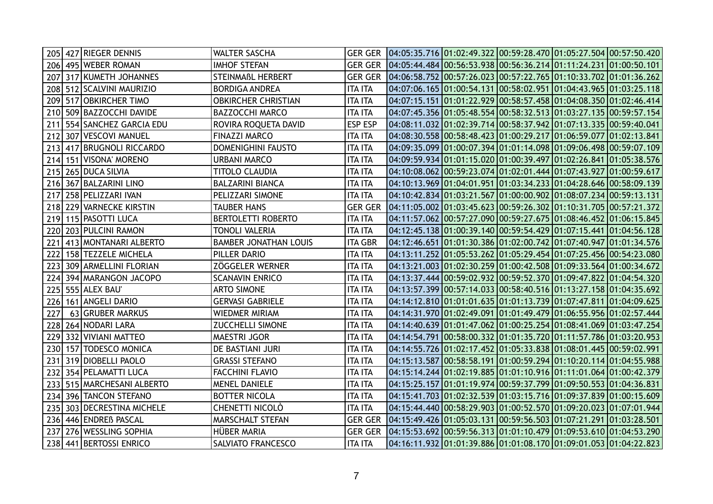| 205 |     | 427 RIEGER DENNIS       | <b>WALTER SASCHA</b>         |                | GER GER 04:05:35.716 01:02:49.322 00:59:28.470 01:05:27.504 00:57:50.420 |  |  |
|-----|-----|-------------------------|------------------------------|----------------|--------------------------------------------------------------------------|--|--|
| 206 |     | 495 WEBER ROMAN         | <b>IMHOF STEFAN</b>          | <b>GER GER</b> | 04:05:44.484 00:56:53.938 00:56:36.214 01:11:24.231 01:00:50.101         |  |  |
| 207 |     | 317 KUMETH JOHANNES     | <b>STEINMAßL HERBERT</b>     |                | GER GER 04:06:58.752 00:57:26.023 00:57:22.765 01:10:33.702 01:01:36.262 |  |  |
| 208 |     | 512 SCALVINI MAURIZIO   | <b>BORDIGA ANDREA</b>        | <b>ITA ITA</b> |                                                                          |  |  |
| 209 |     | 517 OBKIRCHER TIMO      | <b>OBKIRCHER CHRISTIAN</b>   | <b>ITA ITA</b> | 04:07:15.151 01:01:22.929 00:58:57.458 01:04:08.350 01:02:46.414         |  |  |
| 210 | 509 | <b>BAZZOCCHI DAVIDE</b> | <b>BAZZOCCHI MARCO</b>       | <b>ITA ITA</b> | 04:07:45.356 01:05:48.554 00:58:32.513 01:03:27.135 00:59:57.154         |  |  |
| 211 |     | 554 SANCHEZ GARCIA EDU  | ROVIRA ROQUETA DAVID         | <b>ESP ESP</b> | 04:08:11.032 01:02:39.714 00:58:37.942 01:07:13.335 00:59:40.041         |  |  |
| 212 |     | 307 VESCOVI MANUEL      | <b>FINAZZI MARCO</b>         | <b>ITA ITA</b> | 04:08:30.558 00:58:48.423 01:00:29.217 01:06:59.077 01:02:13.841         |  |  |
| 213 |     | 417 BRUGNOLI RICCARDO   | DOMENIGHINI FAUSTO           | <b>ITA ITA</b> | 04:09:35.099 01:00:07.394 01:01:14.098 01:09:06.498 00:59:07.109         |  |  |
| 214 |     | 151 VISONA' MORENO      | <b>URBANI MARCO</b>          | <b>ITA ITA</b> | 04:09:59.934 01:01:15.020 01:00:39.497 01:02:26.841 01:05:38.576         |  |  |
| 215 |     | 265 DUCA SILVIA         | TITOLO CLAUDIA               | <b>ITA ITA</b> | 04:10:08.062 00:59:23.074 01:02:01.444 01:07:43.927 01:00:59.617         |  |  |
| 216 |     | 367 BALZARINI LINO      | <b>BALZARINI BIANCA</b>      | <b>ITA ITA</b> | 04:10:13.969 01:04:01.951 01:03:34.233 01:04:28.646 00:58:09.139         |  |  |
| 217 |     | 258 PELIZZARI IVAN      | PELIZZARI SIMONE             | <b>ITA ITA</b> | 04:10:42.834 01:03:21.567 01:00:00.902 01:08:07.234 00:59:13.131         |  |  |
| 218 |     | 229 VARNECKE KIRSTIN    | <b>TAUBER HANS</b>           | <b>GER GER</b> |                                                                          |  |  |
| 219 |     | 115 PASOTTI LUCA        | <b>BERTOLETTI ROBERTO</b>    | <b>ITA ITA</b> | 04:11:57.062 00:57:27.090 00:59:27.675 01:08:46.452 01:06:15.845         |  |  |
| 220 |     | 203 PULCINI RAMON       | TONOLI VALERIA               | <b>ITA ITA</b> | 04:12:45.138 01:00:39.140 00:59:54.429 01:07:15.441 01:04:56.128         |  |  |
| 221 |     | 413 MONTANARI ALBERTO   | <b>BAMBER JONATHAN LOUIS</b> | <b>ITA GBR</b> | 04:12:46.651 01:01:30.386 01:02:00.742 01:07:40.947 01:01:34.576         |  |  |
| 222 |     | 158 TEZZELE MICHELA     | PILLER DARIO                 | <b>ITA ITA</b> | 04:13:11.252 01:05:53.262 01:05:29.454 01:07:25.456 00:54:23.080         |  |  |
| 223 |     | 309 ARMELLINI FLORIAN   | <b>ZÖGGELER WERNER</b>       | <b>ITA ITA</b> | 04:13:21.003 01:02:30.259 01:00:42.508 01:09:33.564 01:00:34.672         |  |  |
| 224 |     | 394 MARANGON JACOPO     | <b>SCANAVIN ENRICO</b>       | <b>ITA ITA</b> | 04:13:37.444 00:59:02.932 00:59:52.370 01:09:47.822 01:04:54.320         |  |  |
| 225 |     | 555 ALEX BAU            | <b>ARTO SIMONE</b>           | <b>ITA ITA</b> | 04:13:57.399 00:57:14.033 00:58:40.516 01:13:27.158 01:04:35.692         |  |  |
| 226 |     | 161   ANGELI DARIO      | <b>GERVASI GABRIELE</b>      | <b>ITA ITA</b> | 04:14:12.810 01:01:01.635 01:01:13.739 01:07:47.811 01:04:09.625         |  |  |
| 227 |     | 63 GRUBER MARKUS        | WIEDMER MIRIAM               | <b>ITA ITA</b> | 04:14:31.970 01:02:49.091 01:01:49.479 01:06:55.956 01:02:57.444         |  |  |
| 228 |     | 264 NODARI LARA         | <b>ZUCCHELLI SIMONE</b>      | <b>ITA ITA</b> | 04:14:40.639 01:01:47.062 01:00:25.254 01:08:41.069 01:03:47.254         |  |  |
| 229 |     | 332 VIVIANI MATTEO      | <b>MAESTRI JGOR</b>          | <b>ITA ITA</b> | 04:14:54.791 00:58:00.332 01:01:35.720 01:11:57.786 01:03:20.953         |  |  |
| 230 |     | 157 TODESCO MONICA      | DE BASTIANI JURI             | <b>ITA ITA</b> | 04:14:55.726 01:02:17.452 01:05:33.838 01:08:01.445 00:59:02.991         |  |  |
| 231 |     | 319 DIOBELLI PAOLO      | <b>GRASSI STEFANO</b>        | <b>ITA ITA</b> | 04:15:13.587 00:58:58.191 01:00:59.294 01:10:20.114 01:04:55.988         |  |  |
| 232 |     | 354 PELAMATTI LUCA      | <b>FACCHINI FLAVIO</b>       | <b>ITA ITA</b> | 04:15:14.244 01:02:19.885 01:01:10.916 01:11:01.064 01:00:42.379         |  |  |
| 233 |     | 515 MARCHESANI ALBERTO  | <b>MENEL DANIELE</b>         | <b>ITA ITA</b> | 04:15:25.157 01:01:19.974 00:59:37.799 01:09:50.553 01:04:36.831         |  |  |
| 234 |     | 396 TANCON STEFANO      | <b>BOTTER NICOLA</b>         | <b>ITA ITA</b> | 04:15:41.703 01:02:32.539 01:03:15.716 01:09:37.839 01:00:15.609         |  |  |
| 235 |     | 303 DECRESTINA MICHELE  | CHENETTI NICOLÒ              | <b>ITA ITA</b> | 04:15:44.440 00:58:29.903 01:00:52.570 01:09:20.023 01:07:01.944         |  |  |
| 236 |     | 446 ENDREß PASCAL       | MARSCHALT STEFAN             | <b>GER GER</b> |                                                                          |  |  |
| 237 |     | 276 WESSLING SOPHIA     | HÜBER MARIA                  | <b>GER GER</b> | 04:15:53.692 00:59:56.313 01:01:10.479 01:09:53.610 01:04:53.290         |  |  |
|     |     | 238 441 BERTOSSI ENRICO | <b>SALVIATO FRANCESCO</b>    | <b>ITA ITA</b> | 04:16:11.932 01:01:39.886 01:01:08.170 01:09:01.053 01:04:22.823         |  |  |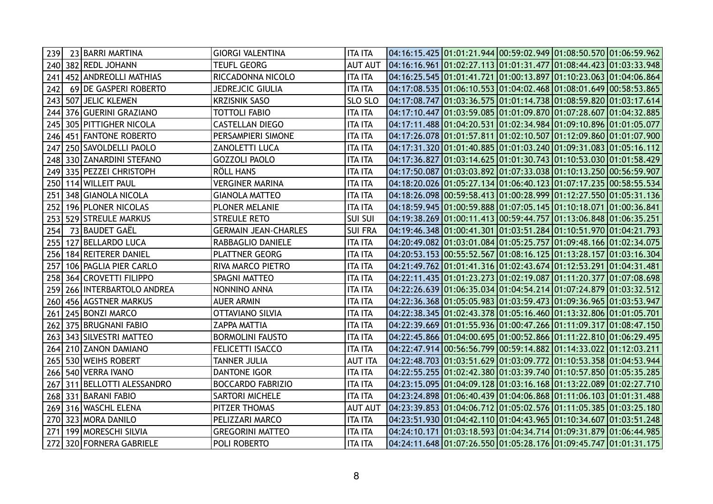| 239 | 23 BARRI MARTINA        | <b>GIORGI VALENTINA</b>     | <b>ITA ITA</b> | $\vert 04:16:15.425 \vert 01:01:21.944 \vert 00:59:02.949 \vert 01:08:50.570 \vert 01:06:59.962 \vert$ |  |  |
|-----|-------------------------|-----------------------------|----------------|--------------------------------------------------------------------------------------------------------|--|--|
|     | 240 382 REDL JOHANN     | <b>TEUFL GEORG</b>          | <b>AUT AUT</b> |                                                                                                        |  |  |
| 241 | 452 ANDREOLLI MATHIAS   | RICCADONNA NICOLO           | <b>ITA ITA</b> | 04:16:25.545 01:01:41.721 01:00:13.897 01:10:23.063 01:04:06.864                                       |  |  |
| 242 | 69 DE GASPERI ROBERTO   | JEDREJCIC GIULIA            | <b>ITA ITA</b> | 04:17:08.535 01:06:10.553 01:04:02.468 01:08:01.649 00:58:53.865                                       |  |  |
| 243 | 507 JELIC KLEMEN        | KRZISNIK SASO               | SLO SLO        | 04:17:08.747 01:03:36.575 01:01:14.738 01:08:59.820 01:03:17.614                                       |  |  |
| 244 | 376 GUERINI GRAZIANO    | TOTTOLI FABIO               | <b>ITA ITA</b> |                                                                                                        |  |  |
| 245 | 305 PITTIGHER NICOLA    | <b>CASTELLAN DIEGO</b>      | <b>ITA ITA</b> | 04:17:11.488 01:04:20.531 01:02:34.984 01:09:10.896 01:01:05.077                                       |  |  |
| 246 | 451 FANTONE ROBERTO     | PERSAMPIERI SIMONE          | <b>ITA ITA</b> | 04:17:26.078 01:01:57.811 01:02:10.507 01:12:09.860 01:01:07.900                                       |  |  |
| 247 | 250 SAVOLDELLI PAOLO    | <b>ZANOLETTI LUCA</b>       | <b>ITA ITA</b> | 04:17:31.320 01:01:40.885 01:01:03.240 01:09:31.083 01:05:16.112                                       |  |  |
| 248 | 330 ZANARDINI STEFANO   | <b>GOZZOLI PAOLO</b>        | <b>ITA ITA</b> | 04:17:36.827 01:03:14.625 01:01:30.743 01:10:53.030 01:01:58.429                                       |  |  |
| 249 | 335 PEZZEI CHRISTOPH    | RÖLL HANS                   | <b>ITA ITA</b> | 04:17:50.087 01:03:03.892 01:07:33.038 01:10:13.250 00:56:59.907                                       |  |  |
| 250 | 114 WILLEIT PAUL        | <b>VERGINER MARINA</b>      | <b>ITA ITA</b> | 04:18:20.026 01:05:27.134 01:06:40.123 01:07:17.235 00:58:55.534                                       |  |  |
| 251 | 348 GIANOLA NICOLA      | <b>GIANOLA MATTEO</b>       | <b>ITA ITA</b> | 04:18:26.098 00:59:58.413 01:00:28.999 01:12:27.550 01:05:31.136                                       |  |  |
| 252 | 196 PLONER NICOLAS      | PLONER MELANIE              | <b>ITA ITA</b> | 04:18:59.945 01:00:59.888 01:07:05.145 01:10:18.071 01:00:36.841                                       |  |  |
| 253 | 529 STREULE MARKUS      | <b>STREULE RETO</b>         | <b>SUI SUI</b> | 04:19:38.269 01:00:11.413 00:59:44.757 01:13:06.848 01:06:35.251                                       |  |  |
| 254 | 73 BAUDET GAËL          | <b>GERMAIN JEAN-CHARLES</b> | <b>SUI FRA</b> | 04:19:46.348 01:00:41.301 01:03:51.284 01:10:51.970 01:04:21.793                                       |  |  |
| 255 | 127 BELLARDO LUCA       | RABBAGLIO DANIELE           | <b>ITA ITA</b> | 04:20:49.082 01:03:01.084 01:05:25.757 01:09:48.166 01:02:34.075                                       |  |  |
| 256 | 184 REITERER DANIEL     | <b>PLATTNER GEORG</b>       | <b>ITA ITA</b> | 04:20:53.153 00:55:52.567 01:08:16.125 01:13:28.157 01:03:16.304                                       |  |  |
| 257 | 106 PAGLIA PIER CARLO   | RIVA MARCO PIETRO           | <b>ITA ITA</b> | 04:21:49.762 01:01:41.316 01:02:43.674 01:12:53.291 01:04:31.481                                       |  |  |
| 258 | 364 CROVETTI FILIPPO    | <b>SPAGNI MATTEO</b>        | <b>ITA ITA</b> | 04:22:11.435 01:01:23.273 01:02:19.087 01:11:20.377 01:07:08.698                                       |  |  |
| 259 | 266 INTERBARTOLO ANDREA | NONNINO ANNA                | <b>ITA ITA</b> | 04:22:26.639 01:06:35.034 01:04:54.214 01:07:24.879 01:03:32.512                                       |  |  |
| 260 | 456 AGSTNER MARKUS      | <b>AUER ARMIN</b>           | <b>ITA ITA</b> | 04:22:36.368 01:05:05.983 01:03:59.473 01:09:36.965 01:03:53.947                                       |  |  |
| 261 | 245 BONZI MARCO         | <b>OTTAVIANO SILVIA</b>     | <b>ITA ITA</b> | 04:22:38.345 01:02:43.378 01:05:16.460 01:13:32.806 01:01:05.701                                       |  |  |
| 262 | 375 BRUGNANI FABIO      | <b>ZAPPA MATTIA</b>         | <b>ITA ITA</b> | 04:22:39.669 01:01:55.936 01:00:47.266 01:11:09.317 01:08:47.150                                       |  |  |
| 263 | 343 SILVESTRI MATTEO    | <b>BORMOLINI FAUSTO</b>     | <b>ITA ITA</b> | 04:22:45.866 01:04:00.695 01:00:52.866 01:11:22.810 01:06:29.495                                       |  |  |
| 264 | 210 ZANON DAMIANO       | FELICETTI ISACCO            | <b>ITA ITA</b> | 04:22:47.914 00:56:56.799 00:59:14.882 01:14:33.022 01:12:03.211                                       |  |  |
|     | 265 530 WEIHS ROBERT    | TANNER JULIA                | <b>AUT ITA</b> |                                                                                                        |  |  |
| 266 | 540 VERRA IVANO         | DANTONE IGOR                | <b>ITA ITA</b> | 04:22:55.255 01:02:42.380 01:03:39.740 01:10:57.850 01:05:35.285                                       |  |  |
| 267 | 311 BELLOTTI ALESSANDRO | <b>BOCCARDO FABRIZIO</b>    | <b>ITA ITA</b> | 04:23:15.095 01:04:09.128 01:03:16.168 01:13:22.089 01:02:27.710                                       |  |  |
| 268 | 331 BARANI FABIO        | <b>SARTORI MICHELE</b>      | <b>ITA ITA</b> | 04:23:24.898 01:06:40.439 01:04:06.868 01:11:06.103 01:01:31.488                                       |  |  |
| 269 | 316 WASCHL ELENA        | PITZER THOMAS               | <b>AUT AUT</b> |                                                                                                        |  |  |
| 270 | 323 MORA DANILO         | PELIZZARI MARCO             | <b>ITA ITA</b> | 04:23:51.930 01:04:42.110 01:04:43.965 01:10:34.607 01:03:51.248                                       |  |  |
| 271 | 199 MORESCHI SILVIA     | <b>GREGORINI MATTEO</b>     | <b>ITA ITA</b> | 04:24:10.171 01:03:18.593 01:04:34.714 01:09:31.879 01:06:44.985                                       |  |  |
| 272 | 320 FORNERA GABRIELE    | POLI ROBERTO                | <b>ITA ITA</b> | 04:24:11.648 01:07:26.550 01:05:28.176 01:09:45.747 01:01:31.175                                       |  |  |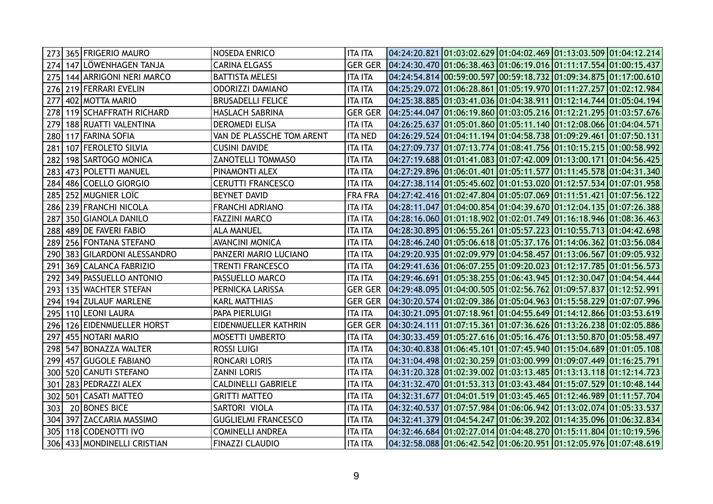| 273 | 365 FRIGERIO MAURO              | <b>NOSEDA ENRICO</b>       | <b>ITA ITA</b> | 04:24:20.821 01:03:02.629 01:04:02.469 01:13:03.509 01:04:12.214 |  |  |
|-----|---------------------------------|----------------------------|----------------|------------------------------------------------------------------|--|--|
| 274 | 147 LÖWENHAGEN TANJA            | <b>CARINA ELGASS</b>       | <b>GER GER</b> | 04:24:30.470 01:06:38.463 01:06:19.016 01:11:17.554 01:00:15.437 |  |  |
| 275 | 144 ARRIGONI NERI MARCO         | <b>BATTISTA MELESI</b>     | <b>ITA ITA</b> | 04:24:54.814 00:59:00.597 00:59:18.732 01:09:34.875 01:17:00.610 |  |  |
| 276 | 219 FERRARI EVELIN              | <b>ODORIZZI DAMIANO</b>    | <b>ITA ITA</b> | 04:25:29.072 01:06:28.861 01:05:19.970 01:11:27.257 01:02:12.984 |  |  |
| 277 | 402 MOTTA MARIO                 | <b>BRUSADELLI FELICE</b>   | <b>ITA ITA</b> | 04:25:38.885 01:03:41.036 01:04:38.911 01:12:14.744 01:05:04.194 |  |  |
| 278 | 119 SCHAFFRATH RICHARD          | HASLACH SABRINA            | <b>GER GER</b> | 04:25:44.047 01:06:19.860 01:03:05.216 01:12:21.295 01:03:57.676 |  |  |
| 279 | 188 RUATTI VALENTINA            | <b>DEROMEDI ELISA</b>      | <b>ITA ITA</b> | 04:26:25.637 01:05:01.860 01:05:11.140 01:12:08.066 01:04:04.571 |  |  |
| 280 | 117 FARINA SOFIA                | VAN DE PLASSCHE TOM ARENT  | <b>ITA NED</b> | 04:26:29.524 01:04:11.194 01:04:58.738 01:09:29.461 01:07:50.131 |  |  |
| 281 | 107 FEROLETO SILVIA             | <b>CUSINI DAVIDE</b>       | <b>ITA ITA</b> | 04:27:09.737 01:07:13.774 01:08:41.756 01:10:15.215 01:00:58.992 |  |  |
| 282 | 198 SARTOGO MONICA              | ZANOTELLI TOMMASO          | <b>ITA ITA</b> | 04:27:19.688 01:01:41.083 01:07:42.009 01:13:00.171 01:04:56.425 |  |  |
| 283 | 473 POLETTI MANUEL              | PINAMONTI ALEX             | <b>ITA ITA</b> |                                                                  |  |  |
| 284 | 486 COELLO GIORGIO              | <b>CERUTTI FRANCESCO</b>   | <b>ITA ITA</b> | 04:27:38.114 01:05:45.602 01:01:53.020 01:12:57.534 01:07:01.958 |  |  |
| 285 | 252 MUGNIER LOIC                | <b>BEYNET DAVID</b>        | FRA FRA        | 04:27:42.416 01:02:47.804 01:05:07.069 01:11:51.421 01:07:56.122 |  |  |
| 286 | 239 FRANCHI NICOLA              | <b>FRANCHI ADRIANO</b>     | <b>ITA ITA</b> |                                                                  |  |  |
| 287 | 350 GIANOLA DANILO              | <b>FAZZINI MARCO</b>       | <b>ITA ITA</b> | 04:28:16.060 01:01:18.902 01:02:01.749 01:16:18.946 01:08:36.463 |  |  |
| 288 | 489 DE FAVERI FABIO             | ALA MANUEL                 | <b>ITA ITA</b> | 04:28:30.895 01:06:55.261 01:05:57.223 01:10:55.713 01:04:42.698 |  |  |
| 289 | 256 FONTANA STEFANO             | <b>AVANCINI MONICA</b>     | <b>ITA ITA</b> | 04:28:46.240 01:05:06.618 01:05:37.176 01:14:06.362 01:03:56.084 |  |  |
| 290 | 383 GILARDONI ALESSANDRO        | PANZERI MARIO LUCIANO      | <b>ITA ITA</b> | 04:29:20.935 01:02:09.979 01:04:58.457 01:13:06.567 01:09:05.932 |  |  |
| 291 | 369 CALANCA FABRIZIO            | <b>TRENTI FRANCESCO</b>    | <b>ITA ITA</b> | 04:29:41.636 01:06:07.255 01:09:20.023 01:12:17.785 01:01:56.573 |  |  |
| 292 | 349 PASSUELLO ANTONIO           | PASSUELLO MARCO            | <b>ITA ITA</b> | 04:29:46.691 01:05:38.255 01:06:43.945 01:12:30.047 01:04:54.444 |  |  |
| 293 | 135 WACHTER STEFAN              | PERNICKA LARISSA           | <b>GER GER</b> |                                                                  |  |  |
| 294 | 194 ZULAUF MARLENE              | KARL MATTHIAS              | <b>GER GER</b> |                                                                  |  |  |
| 295 | 110 LEONI LAURA                 | PAPA PIERLUIGI             | <b>ITA ITA</b> | 04:30:21.095 01:07:18.961 01:04:55.649 01:14:12.866 01:03:53.619 |  |  |
| 296 | 126 EIDENMUELLER HORST          | EIDENMUELLER KATHRIN       | <b>GER GER</b> |                                                                  |  |  |
| 297 | 455 NOTARI MARIO                | <b>MOSETTI UMBERTO</b>     | <b>ITA ITA</b> | 04:30:33.459 01:05:27.616 01:05:16.476 01:13:50.870 01:05:58.497 |  |  |
| 298 | 547 BONAZZA WALTER              | <b>ROSSI LUIGI</b>         | <b>ITA ITA</b> | 04:30:40.838 01:06:45.101 01:07:45.940 01:15:04.689 01:01:05.108 |  |  |
| 299 | 457 GUGOLE FABIANO              | RONCARI LORIS              | <b>ITA ITA</b> |                                                                  |  |  |
| 300 | 520 CANUTI STEFANO              | <b>ZANNI LORIS</b>         | <b>ITA ITA</b> | 04:31:20.328 01:02:39.002 01:03:13.485 01:13:13.118 01:12:14.723 |  |  |
| 301 | 283 PEDRAZZI ALEX               | <b>CALDINELLI GABRIELE</b> | <b>ITA ITA</b> | 04:31:32.470 01:01:53.313 01:03:43.484 01:15:07.529 01:10:48.144 |  |  |
| 302 | 501 CASATI MATTEO               | <b>GRITTI MATTEO</b>       | <b>ITA ITA</b> | 04:32:31.677 01:04:01.519 01:03:45.465 01:12:46.989 01:11:57.704 |  |  |
| 303 | 20 BONES BICE                   | SARTORI VIOLA              | <b>ITA ITA</b> | 04:32:40.537 01:07:57.984 01:06:06.942 01:13:02.074 01:05:33.537 |  |  |
| 304 | 397 ZACCARIA MASSIMO            | <b>GUGLIELMI FRANCESCO</b> | <b>ITA ITA</b> | 04:32:41.379 01:04:54.247 01:06:39.202 01:14:35.096 01:06:32.834 |  |  |
| 305 | 118 CODENOTTI IVO               | <b>COMINELLI ANDREA</b>    | <b>ITA ITA</b> | 04:32:46.684 01:02:27.014 01:04:48.270 01:15:11.804 01:10:19.596 |  |  |
|     | 306   433   MONDINELLI CRISTIAN | <b>FINAZZI CLAUDIO</b>     | <b>ITA ITA</b> | 04:32:58.088 01:06:42.542 01:06:20.951 01:12:05.976 01:07:48.619 |  |  |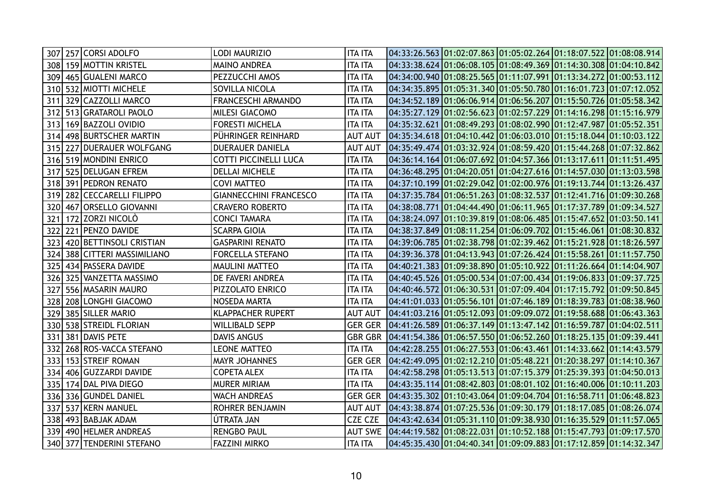| 307 257 CORSI ADOLFO            | LODI MAURIZIO                 | <b>ITA ITA</b> | $04:33:26.563$ $01:02:07.863$ $01:05:02.264$ $01:18:07.522$ $01:08:08.914$ |  |  |
|---------------------------------|-------------------------------|----------------|----------------------------------------------------------------------------|--|--|
| 308 159 MOTTIN KRISTEL          | <b>MAINO ANDREA</b>           | <b>ITA ITA</b> | $04:33:38.624$ $01:06:08.105$ $01:08:49.369$ $01:14:30.308$ $01:04:10.842$ |  |  |
| 309<br>465 GUALENI MARCO        | PEZZUCCHI AMOS                | <b>ITA ITA</b> | 04:34:00.940 01:08:25.565 01:11:07.991 01:13:34.272 01:00:53.112           |  |  |
| 310   532   MIOTTI MICHELE      | SOVILLA NICOLA                | <b>ITA ITA</b> | 04:34:35.895 01:05:31.340 01:05:50.780 01:16:01.723 01:07:12.052           |  |  |
| 329 CAZZOLLI MARCO<br>311       | <b>FRANCESCHI ARMANDO</b>     | ITA ITA        | 04:34:52.189 01:06:06.914 01:06:56.207 01:15:50.726 01:05:58.342           |  |  |
| 513 GRATAROLI PAOLO<br>312      | MILESI GIACOMO                | <b>ITA ITA</b> | $04:35:27.129$ $01:02:56.623$ $01:02:57.229$ $01:14:16.298$ $01:15:16.979$ |  |  |
| 169 BAZZOLI OVIDIO<br>313       | <b>FORESTI MICHELA</b>        | <b>ITA ITA</b> | 04:35:32.621 01:08:49.293 01:08:02.990 01:12:47.987 01:05:52.351           |  |  |
| 498 BURTSCHER MARTIN<br>314     | PÜHRINGER REINHARD            | <b>AUT AUT</b> | 04:35:34.618 01:04:10.442 01:06:03.010 01:15:18.044 01:10:03.122           |  |  |
| 315 227 DUERAUER WOLFGANG       | <b>DUERAUER DANIELA</b>       | <b>AUT AUT</b> | 04:35:49.474 01:03:32.924 01:08:59.420 01:15:44.268 01:07:32.862           |  |  |
| 519 MONDINI ENRICO<br>316       | COTTI PICCINELLI LUCA         | <b>ITA ITA</b> | 04:36:14.164 01:06:07.692 01:04:57.366 01:13:17.611 01:11:51.495           |  |  |
| 525 DELUGAN EFREM<br>317        | <b>DELLAI MICHELE</b>         | <b>ITA ITA</b> | 04:36:48.295 01:04:20.051 01:04:27.616 01:14:57.030 01:13:03.598           |  |  |
| 391 PEDRON RENATO<br>318        | <b>COVI MATTEO</b>            | <b>ITA ITA</b> | 04:37:10.199 01:02:29.042 01:02:00.976 01:19:13.744 01:13:26.437           |  |  |
| 282 CECCARELLI FILIPPO<br>319   | <b>GIANNECCHINI FRANCESCO</b> | <b>ITA ITA</b> | 04:37:35.784 01:06:51.263 01:08:32.537 01:12:41.716 01:09:30.268           |  |  |
| 320 467 ORSELLO GIOVANNI        | <b>CRAVERO ROBERTO</b>        | <b>ITA ITA</b> | 04:38:08.771  01:04:44.490  01:06:11.965  01:17:37.789  01:09:34.527       |  |  |
| 172 ZORZI NICOLÒ<br>321         | <b>CONCI TAMARA</b>           | ITA ITA        | 04:38:24.097 01:10:39.819 01:08:06.485 01:15:47.652 01:03:50.141           |  |  |
| 221 PENZO DAVIDE<br>322         | <b>SCARPA GIOIA</b>           | ITA ITA        | 04:38:37.849 01:08:11.254 01:06:09.702 01:15:46.061 01:08:30.832           |  |  |
| 420 BETTINSOLI CRISTIAN<br>323  | <b>GASPARINI RENATO</b>       | <b>ITA ITA</b> | 04:39:06.785 01:02:38.798 01:02:39.462 01:15:21.928 01:18:26.597           |  |  |
| 388 CITTERI MASSIMILIANO<br>324 | <b>FORCELLA STEFANO</b>       | <b>ITA ITA</b> | 04:39:36.378 01:04:13.943 01:07:26.424 01:15:58.261 01:11:57.750           |  |  |
| 434 PASSERA DAVIDE<br>325       | <b>MAULINI MATTEO</b>         | <b>ITA ITA</b> | 04:40:21.383 01:09:38.890 01:05:10.922 01:11:26.664 01:14:04.907           |  |  |
| 325 VANZETTA MASSIMO<br>326     | DE FAVERI ANDREA              | <b>ITA ITA</b> | 04:40:45.526 01:05:00.534 01:07:00.434 01:19:06.833 01:09:37.725           |  |  |
| 556 MASARIN MAURO<br>327        | PIZZOLATO ENRICO              | <b>ITA ITA</b> | 04:40:46.572 01:06:30.531 01:07:09.404 01:17:15.792 01:09:50.845           |  |  |
| 208 LONGHI GIACOMO<br>328       | NOSEDA MARTA                  | <b>ITA ITA</b> | 04:41:01.033 01:05:56.101 01:07:46.189 01:18:39.783 01:08:38.960           |  |  |
| 385 SILLER MARIO<br>329         | <b>KLAPPACHER RUPERT</b>      | <b>AUT AUT</b> | 04:41:03.216 01:05:12.093 01:09:09.072 01:19:58.688 01:06:43.363           |  |  |
| 330   538   STREIDL FLORIAN     | <b>WILLIBALD SEPP</b>         |                | GER GER  04:41:26.589 01:06:37.149 01:13:47.142 01:16:59.787 01:04:02.511  |  |  |
| 381 DAVIS PETE<br>331           | <b>DAVIS ANGUS</b>            | <b>GBR GBR</b> | $(04:41:54.386)01:06:57.550(01:06:52.260)01:18:25.135(01:09:39.441)$       |  |  |
| 268 ROS-VACCA STEFANO<br>332    | <b>LEONE MATTEO</b>           | <b>ITA ITA</b> | 04:42:28.255 01:06:27.553 01:06:43.461 01:14:33.662 01:14:43.579           |  |  |
| 153 STREIF ROMAN<br>333         | <b>MAYR JOHANNES</b>          | <b>GER GER</b> | 04:42:49.095 01:02:12.210 01:05:48.221 01:20:38.297 01:14:10.367           |  |  |
| 406 GUZZARDI DAVIDE<br>334      | <b>COPETA ALEX</b>            | <b>ITA ITA</b> | 04:42:58.298 01:05:13.513 01:07:15.379 01:25:39.393 01:04:50.013           |  |  |
| 174 DAL PIVA DIEGO<br>335       | <b>MURER MIRIAM</b>           | <b>ITA ITA</b> | $04:43:35.114$ $01:08:42.803$ $01:08:01.102$ $01:16:40.006$ $01:10:11.203$ |  |  |
| 336 GUNDEL DANIEL<br>336        | <b>WACH ANDREAS</b>           | <b>GER GER</b> | 04:43:35.302 01:10:43.064 01:09:04.704 01:16:58.711 01:06:48.823           |  |  |
| 537 KERN MANUEL<br>337          | ROHRER BENJAMIN               | <b>AUT AUT</b> |                                                                            |  |  |
| 493 BABJAK ADAM<br>338          | ÚTRATA JAN                    | <b>CZE CZE</b> | 04:43:42.634 01:05:31.110 01:09:38.930 01:16:35.529 01:11:57.065           |  |  |
| 490 HELMER ANDREAS<br>339       | RENGBO PAUL                   | <b>AUT SWE</b> | $04:44:19.582$ $01:08:22.031$ $01:10:52.188$ $01:15:47.793$ $01:09:17.570$ |  |  |
| 340 377 TENDERINI STEFANO       | <b>FAZZINI MIRKO</b>          | <b>ITA ITA</b> | 04:45:35.430 01:04:40.341 01:09:09.883 01:17:12.859 01:14:32.347           |  |  |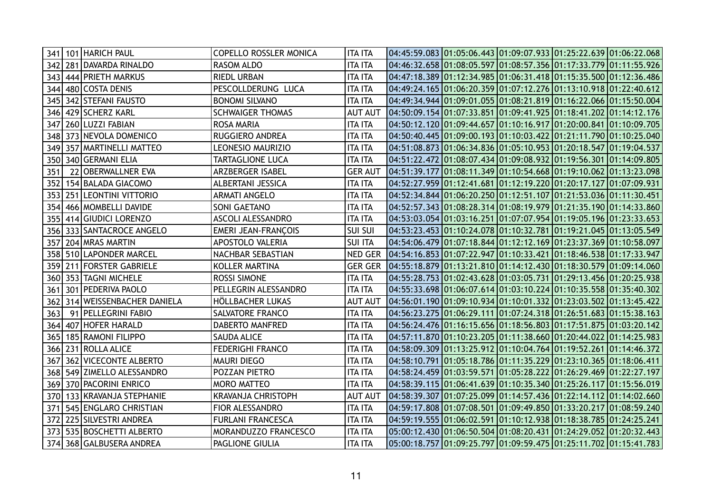|     |     | 341   101   HARICH PAUL   | <b>COPELLO ROSSLER MONICA</b> | <b>ITA ITA</b> | $04:45:59.083$ $01:05:06.443$ $01:09:07.933$ $01:25:22.639$ $01:06:22.068$  |  |  |
|-----|-----|---------------------------|-------------------------------|----------------|-----------------------------------------------------------------------------|--|--|
| 342 |     | 281 DAVARDA RINALDO       | RASOM ALDO                    | <b>ITA ITA</b> | 04:46:32.658 01:08:05.597 01:08:57.356 01:17:33.779 01:11:55.926            |  |  |
| 343 |     | 444 PRIETH MARKUS         | RIEDL URBAN                   | <b>ITA ITA</b> | 04:47:18.389 01:12:34.985 01:06:31.418 01:15:35.500 01:12:36.486            |  |  |
| 344 |     | 480 COSTA DENIS           | PESCOLLDERUNG LUCA            | ITA ITA        | 04:49:24.165 01:06:20.359 01:07:12.276 01:13:10.918 01:22:40.612            |  |  |
| 345 |     | 342 STEFANI FAUSTO        | <b>BONOMI SILVANO</b>         | <b>ITA ITA</b> | 04:49:34.944 01:09:01.055 01:08:21.819 01:16:22.066 01:15:50.004            |  |  |
| 346 |     | 429 SCHERZ KARL           | <b>SCHWAIGER THOMAS</b>       | <b>AUT AUT</b> | 04:50:09.154 01:07:33.851 01:09:41.925 01:18:41.202 01:14:12.176            |  |  |
| 347 |     | 260 LUZZI FABIAN          | ROSA MARIA                    | <b>ITA ITA</b> | 04:50:12.120 01:09:44.657 01:10:16.917 01:20:00.841 01:10:09.705            |  |  |
| 348 |     | 373 NEVOLA DOMENICO       | RUGGIERO ANDREA               | <b>ITA ITA</b> | 04:50:40.445 01:09:00.193 01:10:03.422 01:21:11.790 01:10:25.040            |  |  |
| 349 |     | 357   MARTINELLI MATTEO   | <b>LEONESIO MAURIZIO</b>      | <b>ITA ITA</b> | 04:51:08.873 01:06:34.836 01:05:10.953 01:20:18.547 01:19:04.537            |  |  |
| 350 |     | 340 GERMANI ELIA          | TARTAGLIONE LUCA              | <b>ITA ITA</b> |                                                                             |  |  |
| 351 |     | 22 OBERWALLNER EVA        | <b>ARZBERGER ISABEL</b>       | <b>GER AUT</b> | 04:51:39.177 01:08:11.349 01:10:54.668 01:19:10.062 01:13:23.098            |  |  |
| 352 |     | 154 BALADA GIACOMO        | ALBERTANI JESSICA             | <b>ITA ITA</b> | 04:52:27.959 01:12:41.681 01:12:19.220 01:20:17.127 01:07:09.931            |  |  |
| 353 |     | 251 LEONTINI VITTORIO     | <b>ARMATI ANGELO</b>          | <b>ITA ITA</b> | 04:52:34.844 01:06:20.250 01:12:51.107 01:21:53.036 01:11:30.451            |  |  |
| 354 |     | 466 MOMBELLI DAVIDE       | SONI GAETANO                  | ITA ITA        | 04:52:57.343 01:08:28.314 01:08:19.979 01:21:35.190 01:14:33.860            |  |  |
| 355 |     | 414 GIUDICI LORENZO       | <b>ASCOLI ALESSANDRO</b>      | <b>ITA ITA</b> | 04:53:03.054 01:03:16.251 01:07:07.954 01:19:05.196 01:23:33.653            |  |  |
| 356 |     | 333 SANTACROCE ANGELO     | <b>EMERI JEAN-FRANÇOIS</b>    | <b>SUI SUI</b> | 04:53:23.453 01:10:24.078 01:10:32.781 01:19:21.045 01:13:05.549            |  |  |
| 357 |     | 204 MRAS MARTIN           | <b>APOSTOLO VALERIA</b>       | <b>SUI ITA</b> | 04:54:06.479 01:07:18.844 01:12:12.169 01:23:37.369 01:10:58.097            |  |  |
| 358 |     | 510 LAPONDER MARCEL       | NACHBAR SEBASTIAN             | NED GER        | 04:54:16.853 01:07:22.947 01:10:33.421 01:18:46.538 01:17:33.947            |  |  |
| 359 |     | 211 FORSTER GABRIELE      | KOLLER MARTINA                |                | GER GER $ 04:55:18.879 01:13:21.810 01:14:12.430 01:18:30.579 01:09:14.060$ |  |  |
| 360 |     | 353 TAGNI MICHELE         | <b>ROSSI SIMONE</b>           | <b>ITA ITA</b> | 04:55:28.753  01:02:43.628  01:03:05.731  01:29:13.456  01:20:25.938        |  |  |
| 361 | 301 | <b>PEDERIVA PAOLO</b>     | PELLEGRIN ALESSANDRO          | <b>ITA ITA</b> | 04:55:33.698 01:06:07.614 01:03:10.224 01:10:35.558 01:35:40.302            |  |  |
| 362 |     | 314 WEISSENBACHER DANIELA | HÖLLBACHER LUKAS              | <b>AUT AUT</b> |                                                                             |  |  |
| 363 |     | 91 PELLEGRINI FABIO       | SALVATORE FRANCO              | <b>ITA ITA</b> | 04:56:23.275 01:06:29.111 01:07:24.318 01:26:51.683 01:15:38.163            |  |  |
| 364 |     | 407 HOFER HARALD          | DABERTO MANFRED               | <b>ITA ITA</b> | 04:56:24.476 01:16:15.656 01:18:56.803 01:17:51.875 01:03:20.142            |  |  |
| 365 |     | 185 RAMONI FILIPPO        | <b>SAUDA ALICE</b>            | <b>ITA ITA</b> | 04:57:11.870 01:10:23.205 01:11:38.660 01:20:44.022 01:14:25.983            |  |  |
| 366 |     | 231 ROLLA ALICE           | <b>FEDERIGHI FRANCO</b>       | ITA ITA        | 04:58:09.309 01:13:25.912 01:10:04.764 01:19:52.261 01:14:46.372            |  |  |
| 367 |     | 362 VICECONTE ALBERTO     | <b>MAURI DIEGO</b>            | <b>ITA ITA</b> | 04:58:10.791 01:05:18.786 01:11:35.229 01:23:10.365 01:18:06.411            |  |  |
| 368 |     | 549 ZIMELLO ALESSANDRO    | POZZAN PIETRO                 | <b>ITA ITA</b> | 04:58:24.459 01:03:59.571 01:05:28.222 01:26:29.469 01:22:27.197            |  |  |
| 369 |     | 370 PACORINI ENRICO       | <b>MORO MATTEO</b>            | <b>ITA ITA</b> | 04:58:39.115 01:06:41.639 01:10:35.340 01:25:26.117 01:15:56.019            |  |  |
| 370 |     | 133 KRAVANJA STEPHANIE    | <b>KRAVANJA CHRISTOPH</b>     | <b>AUT AUT</b> | 04:58:39.307 01:07:25.099 01:14:57.436 01:22:14.112 01:14:02.660            |  |  |
| 371 |     | 545 ENGLARO CHRISTIAN     | FIOR ALESSANDRO               | <b>ITA ITA</b> | 04:59:17.808 01:07:08.501 01:09:49.850 01:33:20.217 01:08:59.240            |  |  |
| 372 |     | 225 SILVESTRI ANDREA      | <b>FURLANI FRANCESCA</b>      | <b>ITA ITA</b> | 04:59:19.555   01:06:02.591   01:10:12.938   01:18:38.785   01:24:25.241    |  |  |
| 373 |     | 535 BOSCHETTI ALBERTO     | MORANDUZZO FRANCESCO          | <b>ITA ITA</b> | 05:00:12.430 01:06:50.504 01:08:20.431 01:24:29.052 01:20:32.443            |  |  |
|     |     | 374 368 GALBUSERA ANDREA  | PAGLIONE GIULIA               | <b>ITA ITA</b> | 05:00:18.757 01:09:25.797 01:09:59.475 01:25:11.702 01:15:41.783            |  |  |